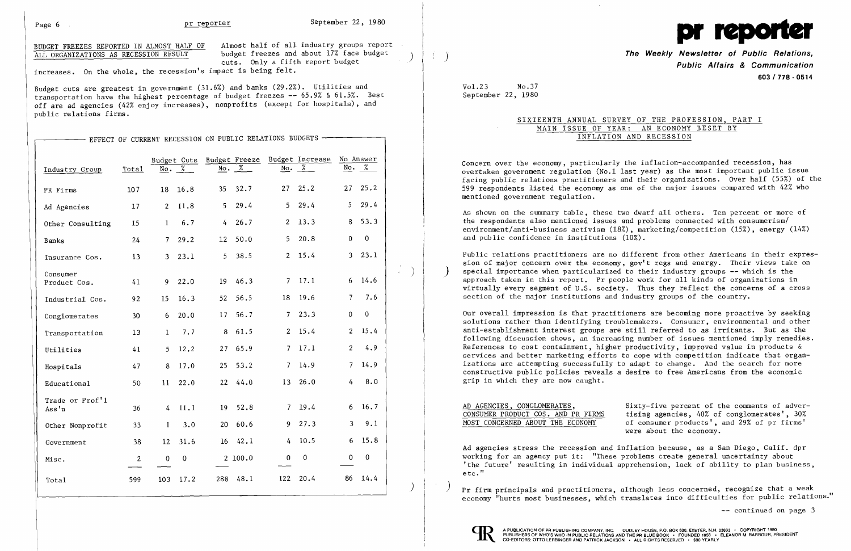BUDGET FREEZES REPORTED IN ALMOST HALF OF Almost half of all industry groups report<br>ALL ORGANIZATIONS AS RECESSION RESULT budget freezes and about 17% face budget budget freezes and about 17% face budget cuts. Only a fifth report budget

increases. On the whole, the recession's impact is being felt.

Budget cuts are greatest in government (31.6%) and banks (29.2%). Utilities and transportation have the highest percentage of budget freezes -- 65.9% & 61.5%. Best off are ad agencies (42% enjoy increases), nonprofits (except for hospitals), and public relations firms.

|                          |                |                |                                         |                |                                           |                | EFFECT OF CURRENT RECESSION ON PUBLIC RELATIONS BUDGETS $\rightarrow$ |                         |                            |
|--------------------------|----------------|----------------|-----------------------------------------|----------------|-------------------------------------------|----------------|-----------------------------------------------------------------------|-------------------------|----------------------------|
| Industry Group           | Total          | No.            | Budget Cuts<br>$\overline{\mathscr{L}}$ | No.            | Budget Freeze<br>$\overline{\mathscr{Z}}$ | No.            | Budget Increase<br>℅                                                  | No.                     | No Answer<br>$\frac{7}{6}$ |
| PR Firms                 | 107            | 18             | 16.8                                    | 35             | 32.7                                      | 27             | 25.2                                                                  | 27                      | 25.2                       |
| Ad Agencies              | 17             | $\overline{2}$ | 11.8                                    | 5              | 29.4                                      | 5 <sup>1</sup> | 29.4                                                                  | 5                       | 29.4                       |
| Other Consulting         | 15             | $\mathbf{1}$   | 6.7                                     | $\overline{4}$ | 26.7                                      | 2 <sup>1</sup> | 13.3                                                                  | $\, 8$                  | 53.3                       |
| Banks                    | 24             | 7 <sup>1</sup> | 29.2                                    | 12             | 50.0                                      | 5 <sup>1</sup> | 20.8                                                                  | $\pmb{0}$               | $\pmb{0}$                  |
| Insurance Cos.           | 13             | 3 <sup>1</sup> | 23.1                                    | 5 <sup>1</sup> | 38.5                                      | 2 <sup>1</sup> | 15.4                                                                  | $\overline{\mathbf{3}}$ | 23.1                       |
| Consumer<br>Product Cos. | 41             | 9              | 22.0                                    | 19             | 46.3                                      | $7^{\circ}$    | 17.1                                                                  | 6                       | 14.6                       |
| Industrial Cos.          | 92             | 15             | 16.3                                    | 52             | 56.5                                      | 18             | 19.6                                                                  | $\overline{7}$          | 7.6                        |
| Conglomerates            | 30             | 6              | 20.0                                    | 17             | 56.7                                      | 7 <sup>7</sup> | 23.3                                                                  | $\boldsymbol{0}$        | $\pmb{0}$                  |
| Transportation           | 13             | $\mathbf{I}$   | 7.7                                     | 8              | 61.5                                      | $\overline{2}$ | 15.4                                                                  | $\overline{2}$          | 15.4                       |
| Utilities                | 41             | 5.             | 12.2                                    | 27             | 65.9                                      | 7 <sup>1</sup> | 17.1                                                                  | $\overline{2}$          | 4.9                        |
| Hospitals                | 47             | 8              | 17.0                                    | 25             | 53.2                                      | 7 <sup>1</sup> | 14.9                                                                  | $\overline{7}$          | 14.9                       |
| Educational              | 50             | 11             | 22.0                                    | 22             | 44.0                                      | 13             | 26.0                                                                  | $\overline{4}$          | 8.0                        |
| Trade or Prof'1<br>Ass'n | 36             | 4              | 11.1                                    | 19             | 52.8                                      | 7              | 19.4                                                                  | 6                       | 16.7                       |
| Other Nonprofit          | 33             | $\mathbf{1}$   | 3.0                                     | 20             | 60.6                                      | 9.             | 27.3                                                                  | 3                       | 9.1                        |
| Government               | 38             | 12             | 31.6                                    | 16             | 42.1                                      | 4              | 10.5                                                                  | $6\phantom{1}6$         | 15.8                       |
| Misc.                    | $\overline{2}$ | $\mathbf 0$    | $\mathbf 0$                             |                | 2100.0                                    | $\overline{0}$ | $\boldsymbol{0}$                                                      | $\mathbf 0$             | $\pmb{0}$                  |
| Total                    | 599            | 103            | 17.2                                    | 288            | 48.1                                      | 122            | 20.4                                                                  | 86                      | 14.4                       |

**The Weekly Newsletter of Public Relations. Public Affairs & Communication 603/778·0514** 



Vol.23 No.37 September 22, 1980

SIXTEENTH ANNUAL SURVEY OF THE PROFESSION, PART I MAIN ISSUE OF YEAR: AN ECONOMY BESET BY INFLATION AND RECESSION

> Sixty-five percent of the comments of advertising agencies,  $40\%$  of conglomerates',  $30\%$ of consumer products', and 29% of pr firms' were about the economy.

> > -- continued on page 3

Concern over the economy, particularly the inflation-accompanied recession, has overtaken government regulation (No.1 last year) as the most important public issue facing public relations practitioners and their organizations. Over half (55%) of the 599 respondents listed the economy as one of the major issues compared with 42% who mentioned government regulation.

Ad agencies stress the recession and inflation because, as a San Diego, Calif. dpr working for an agency put it: "These problems create general uncertainty about 'the future' resulting in individual apprehension, lack of ability to plan business, etc. "

 $\langle \cdot \rangle$  )  $\gamma$  firm principals and practitioners, although less concerned, recognize that a weak economy "hurts most businesses, which translates into difficulties for public relations."



As shown on the summary table, these two dwarf all others. Ten percent or more of the respondents also mentioned issues and problems connected with consumerism/ environment/anti-business activism (18%), marketing/competition (15%), energy (14%) and public confidence in institutions (10%).

Public relations practitioners are no different from other Americans in their expression of major concern over the economy, gov't regs and energy. Their views take on special importance when particularized to their industry groups  $-$ - which is the approach taken in this report. Pr people work for all kinds of organizations in virtually every segment of U.S. society. Thus they reflect the concerns of a cross section of the major institutions and industry groups of the country.

Our overall impression is that practitioners are becoming more proactive by seeking solutions rather than identifying troublemakers. Consumer, environmental and other anti-establishment interest groups are still referred to as irritants. But as the following discussion shows, an increasing number of issues mentioned imply remedies. References to cost containment, higher productivity, improved value in products & services and better marketing efforts to cope with competition indicate that organizations are attempting successfully to adapt to change. And the search for more constructive public policies reveals a desire to free Americans from the economic grip in which they are now caught.

| CONSUMER PRODUCT COS. AND PR FIRMS |
|------------------------------------|
|                                    |
| MOST CONCERNED ABOUT THE ECONOMY   |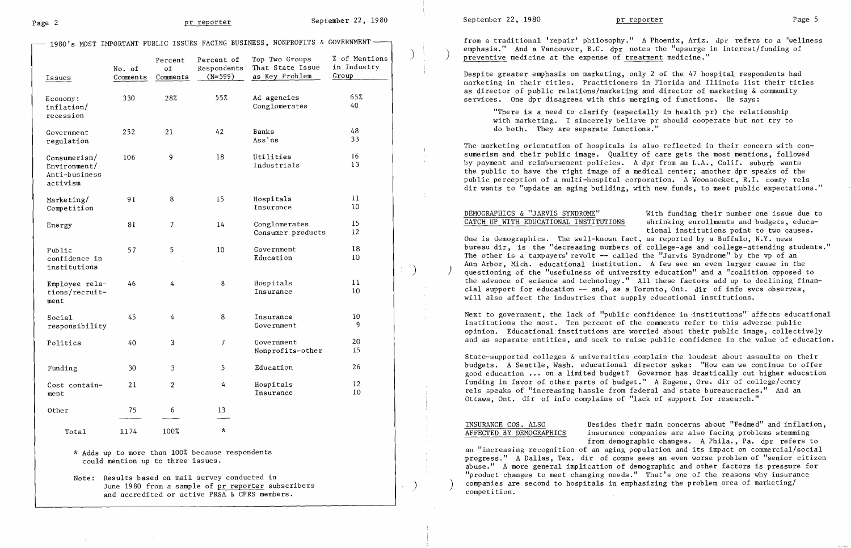Page 2 **Page 2 pr reporter** September 22, 1980

) and the state of the state  $\vert \cdot \vert$ 

| Issues                                                       | No. of<br>Comments | Percent<br>of<br>Comments | Percent of<br>Respondents<br>$(N=599)$ | Top Two Groups<br>That State Issue<br>as Key Problem | % of Mentions<br>in Industry<br>Group |
|--------------------------------------------------------------|--------------------|---------------------------|----------------------------------------|------------------------------------------------------|---------------------------------------|
| Economy:<br>inflation/<br>recession                          | 330                | 28%                       | 55%                                    | Ad agencies<br>Conglomerates                         | 65%<br>40                             |
| Government<br>regulation                                     | 252                | 21                        | 42                                     | Banks<br>Ass'ns                                      | 48<br>33                              |
| $Consume$ rism/<br>Environment/<br>Anti-business<br>activism | 106                | 9                         | 18                                     | Utilities<br>Industrials                             | 16<br>13                              |
| Marketing/<br>Competition                                    | 91<br>8            |                           | 15                                     | Hospitals<br>Insurance                               | 11<br>10                              |
| Energy                                                       | 81<br>7            |                           | 14                                     | Conglomerates<br>Consumer products                   | 15<br>12                              |
| Public<br>confidence in<br>institutions                      | 57                 | 5                         | 10                                     | Government<br>Education                              | 18<br>10                              |
| Employee rela-<br>tions/recruit-<br>ment                     | 46                 | $\frac{1}{4}$             | 8                                      | Hospitals<br>Insurance                               | 11<br>10                              |
| Social<br>responsibility                                     | 45                 | $\overline{4}$            | 8                                      | Insurance<br>Government                              | 10<br>9                               |
| Politics                                                     | 40                 | 3                         | $\overline{7}$                         | Government<br>Nonprofits-other                       | 20<br>15                              |
| Funding                                                      | 30                 | 3                         | 5                                      | Education                                            | 26                                    |
| Cost contain-<br>ment                                        | 21                 | $\overline{2}$            | 4                                      | Hospitals<br>Insurance                               | 12<br>10                              |
| Other                                                        | 75                 | 6                         | 13                                     |                                                      |                                       |
| Total                                                        | 1174               | 100%                      | $\star$                                |                                                      |                                       |

from a traditional 'repair' philosophy." A Phoenix, Ariz. dpr refers to a "wellness emphasis." And a Vancouver, B.C. dpr notes the "upsurge in interest/funding of preventive medicine at the expense of treatment medicine."

"There is a need to clarify (especially in health  $pr$ ) the relationship with marketing. I sincerely believe pr should cooperate but not try to do both. They are separate functions."

\* Adds up to more than 100% because respondents could mention up to three issues.

Note: Results based on mail survey conducted in June 1980 from a sample of pr reporter subscribers and accredited or active PRSA & CPRS members.

- 1980's MOST IMPORTANT PUBLIC ISSUES FACING BUSINESS, NONPROFITS & GOVERNMENT -

DEMOGRAPHICS & "JARVIS SYNDROME" With funding their number one issue due to<br>CATCH UP WITH EDUCATIONAL INSTITUTIONS shrinking enrollments and budgets, educashrinking enrollments and budgets, educational institutions point to two causes. One is demographics. The well-known fact, as reported by a Buffalo, N.Y. news bureau dir, is the "decreasing numbers of college-age and college-attending students." The other is a taxpayers' revolt -- called the "Jarvis Syndrome" by the vp of an Ann Arbor, Mich. educational institution. A few see an even larger cause in the questioning of the "usefulness of university education" and a "coalition opposed to the advance of science and technology." All these factors add up to declining finan cial support for education -- and, as a Toronto, Ont. dir of info svcs observes, will also affect the industries that supply educational institutions.

Despite greater emphasis on marketing, only 2 of the 47 hospital respondents had marketing in their titles. Practitioners in Florida and Illinois list their titles as director of public relations/marketing and director of marketing & community services. One dpr disagrees with this merging of functions. He says:

Next to government, the lack of "public confidence in institutions" affects educational institutions the most. Ten percent of the comments refer to this adverse public opinion. Educational institutions are worried about their public image, collectively and as separate entities, and seek to raise public confidence in the value of education.

The marketing orientation of hospitals is also reflected in their concern with consumerism and their public image. Quality of care gets the most mentions, followed by payment and reimbursement policies. A dpr from an L.A., Calif. suburb wants the public to have the right image of a medical center; another dpr speaks of the public perception of a multi-hospital corporation. A Woonsocket, R.1. comty rels dir wants to "update an aging building, with new funds, to meet public expectations."

State-supported colleges & universities complain the loudest about assaults on their budgets. A Seattle, Wash. educational director asks: "How can we continue to offer good education **...** on a limited budget? Governor has drastically cut higher education funding in favor of other parts of budget." A Eugene, Ore. dir of college/comty rels speaks of "increasing hassle from federal and state bureaucracies." And an Ottawa, Ont. dir of info complains of "lack of support for research."

INSURANCE COS. ALSO<br>AFFECTED BY DEMOGRAPHICS insurance companies are also facing problems stemming insurance companies are also facing problems stemming from demographic changes. A Phila., Pa. dpr refers to an "increasing recognition of an aging population and its impact on commercial/social progress." A Dallas, Tex. dir of comns sees an even worse problem of "senior citizen abuse." A more general implication of demographic and other factors is pressure for "product changes to meet changing needs." That's one of the reasons why insurance companies are second to hospitals in emphasizing the problem area of marketing/<br>competition.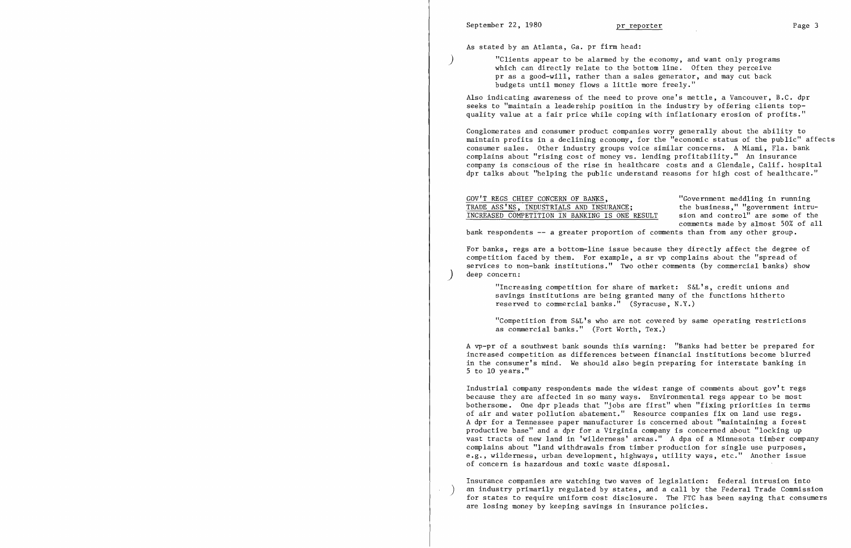$\big)$ 

)

 $\left( \right)$ 

As stated by an Atlanta, Ga. pr firm head:

"Clients appear to be alarmed by the economy, and want only programs which can directly relate to the bottom line. Often they perceive pr as a good-will, rather than a sales generator, and may cut back budgets until money flows a little more freely."

Also indicating awareness of the need to prove one's mettle, a Vancouver, B.C. dpr seeks to "maintain a leadership position in the industry by offering clients topquality value at a fair price while coping with inflationary erosion of profits."

GOV'T REGS CHIEF CONCERN OF BANKS,<br>TRADE ASS'NS. INDUSTRIALS AND INSURANCE: the business." "government intru-TRADE ASS'NS, INDUSTRIALS AND INSURANCE; the business," "government intru-<br>INCREASED COMPETITION IN BANKING IS ONE RESULT sion and control" are some of the INCREASED COMPETITION IN BANKING IS ONE RESULT bank respondents **-- <sup>a</sup>**greater proportion of comments than from any other group.

Conglomerates and consumer product companies worry generally about the ability to maintain profits in a declining economy, for the "economic status of the public" affects consumer sales. Other industry groups voice similar concerns. A Miami, Fla. bank complains about "rising cost of money vs , lending profitability." An insurance company is conscious of the rise in hea1thcare costs and a Glendale, Calif. hospital dpr talks about "helping the public understand reasons for high cost of hea1thcare."

comments made by almost 50% of all

For banks, regs are a bottom-line issue because they directly affect the degree of competition faced by them. For example, a sr vp complains about the "spread of services to non-bank institutions." Two other comments (by commercial banks) show deep concern:

"Increasing competition for share of market: S&L's, credit unions and savings institutions are being granted many of the functions hitherto reserved to commercial banks." (Syracuse, N.Y.)

"Competition from S&L's who are not covered by same operating restrictions as commercial banks." (Fort Worth, Tex.)

A vp-pr of a southwest bank sounds this warning: "Banks had better be prepared for increased competition as differences between financial institutions become blurred in the consumer's mind. We should also begin preparing for interstate banking in 5 to 10 years."

Industrial company respondents made the widest range of comments about gov't regs because they are affected in so many ways. Environmental regs appear to be most bothersome. One dpr pleads that "jobs are first" when "fixing priorities in terms of air and water pollution abatement." Resource companies fix on land use regs. A dpr for a Tennessee paper manufacturer is concerned about "maintaining a forest productive base" and a dpr for a Virginia company is concerned about "locking up vast tracts of new land in 'wilderness' areas." A dpa of a Minnesota timber company complains about "land withdrawals from timber production for single use purposes, e.g., wilderness, urban development, highways, utility ways, etc." Another issue of concern is hazardous and toxic waste disposal.

Insurance companies are watching two waves of legislation: federal intrusion into an industry primarily regulated by states, and a call by the Federal Trade Commission for states to require uniform cost disclosure. The FTC has been saying that consumers are losing money by keeping savings in insurance policies.